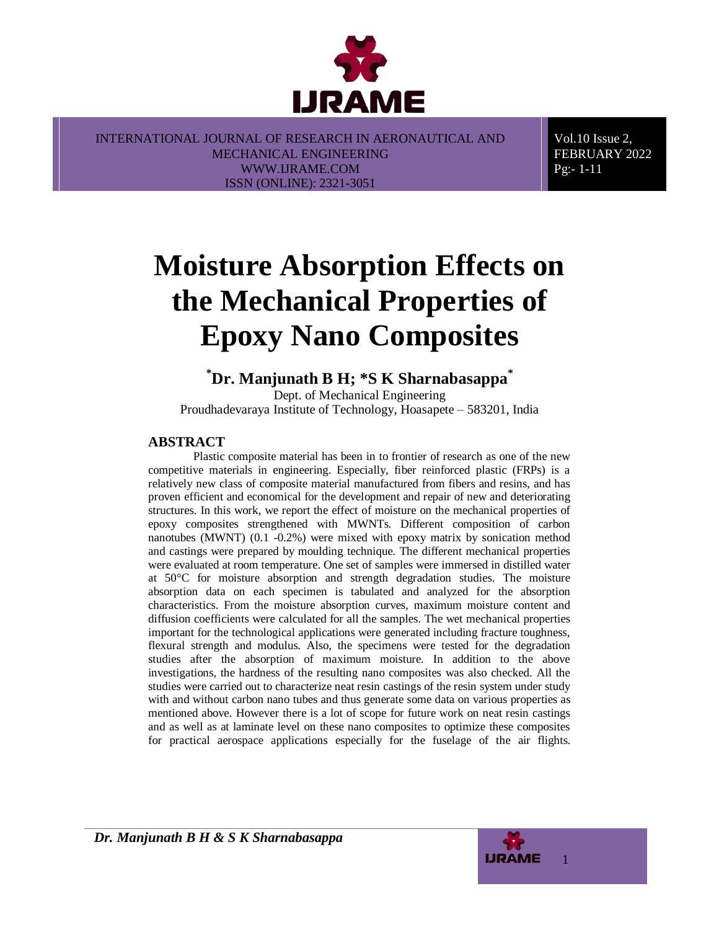

Vol.10 Issue 2, FEBRUARY 2022 Pg:- 1-11

# **Moisture Absorption Effects on the Mechanical Properties of Epoxy Nano Composites**

# **\*Dr. Manjunath B H; \*S K Sharnabasappa\***

Dept. of Mechanical Engineering Proudhadevaraya Institute of Technology, Hoasapete – 583201, India

# **ABSTRACT**

Plastic composite material has been in to frontier of research as one of the new competitive materials in engineering. Especially, fiber reinforced plastic (FRPs) is a relatively new class of composite material manufactured from fibers and resins, and has proven efficient and economical for the development and repair of new and deteriorating structures. In this work, we report the effect of moisture on the mechanical properties of epoxy composites strengthened with MWNTs. Different composition of carbon nanotubes (MWNT) (0.1 -0.2%) were mixed with epoxy matrix by sonication method and castings were prepared by moulding technique. The different mechanical properties were evaluated at room temperature. One set of samples were immersed in distilled water at 50°C for moisture absorption and strength degradation studies. The moisture absorption data on each specimen is tabulated and analyzed for the absorption characteristics. From the moisture absorption curves, maximum moisture content and diffusion coefficients were calculated for all the samples. The wet mechanical properties important for the technological applications were generated including fracture toughness, flexural strength and modulus. Also, the specimens were tested for the degradation studies after the absorption of maximum moisture. In addition to the above investigations, the hardness of the resulting nano composites was also checked. All the studies were carried out to characterize neat resin castings of the resin system under study with and without carbon nano tubes and thus generate some data on various properties as mentioned above. However there is a lot of scope for future work on neat resin castings and as well as at laminate level on these nano composites to optimize these composites for practical aerospace applications especially for the fuselage of the air flights.

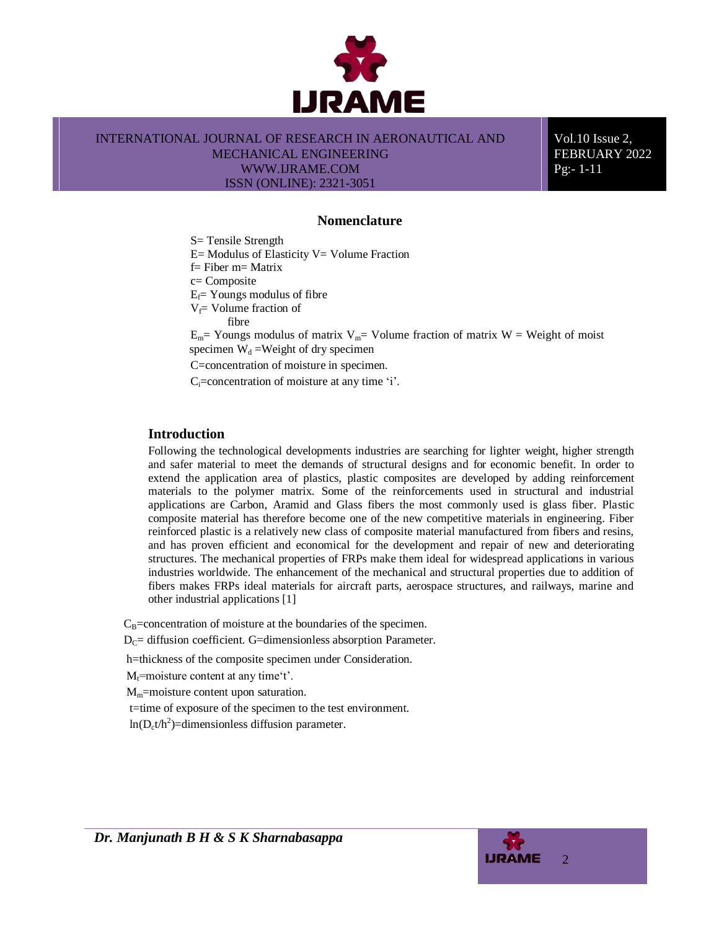

Vol.10 Issue 2, FEBRUARY 2022 Pg:- 1-11

#### **Nomenclature**

S= Tensile Strength

 $E=$  Modulus of Elasticity V= Volume Fraction

f= Fiber m= Matrix

c= Composite

 $E_f$ = Youngs modulus of fibre

 $V_f$ = Volume fraction of

fibre

 $E_m$ = Youngs modulus of matrix  $V_m$ = Volume fraction of matrix W = Weight of moist specimen  $W_d$  =Weight of dry specimen

C=concentration of moisture in specimen.

C<sub>i</sub>=concentration of moisture at any time 'i'.

## **Introduction**

Following the technological developments industries are searching for lighter weight, higher strength and safer material to meet the demands of structural designs and for economic benefit. In order to extend the application area of plastics, plastic composites are developed by adding reinforcement materials to the polymer matrix. Some of the reinforcements used in structural and industrial applications are Carbon, Aramid and Glass fibers the most commonly used is glass fiber. Plastic composite material has therefore become one of the new competitive materials in engineering. Fiber reinforced plastic is a relatively new class of composite material manufactured from fibers and resins, and has proven efficient and economical for the development and repair of new and deteriorating structures. The mechanical properties of FRPs make them ideal for widespread applications in various industries worldwide. The enhancement of the mechanical and structural properties due to addition of fibers makes FRPs ideal materials for aircraft parts, aerospace structures, and railways, marine and other industrial applications [1]

 $C_B$ =concentration of moisture at the boundaries of the specimen.

 $D_C$ = diffusion coefficient. G=dimensionless absorption Parameter.

h=thickness of the composite specimen under Consideration.

 $M_t$ =moisture content at any time't'.

M<sub>m</sub>=moisture content upon saturation.

t=time of exposure of the specimen to the test environment.

 $ln(D_c t/h^2)$ =dimensionless diffusion parameter.



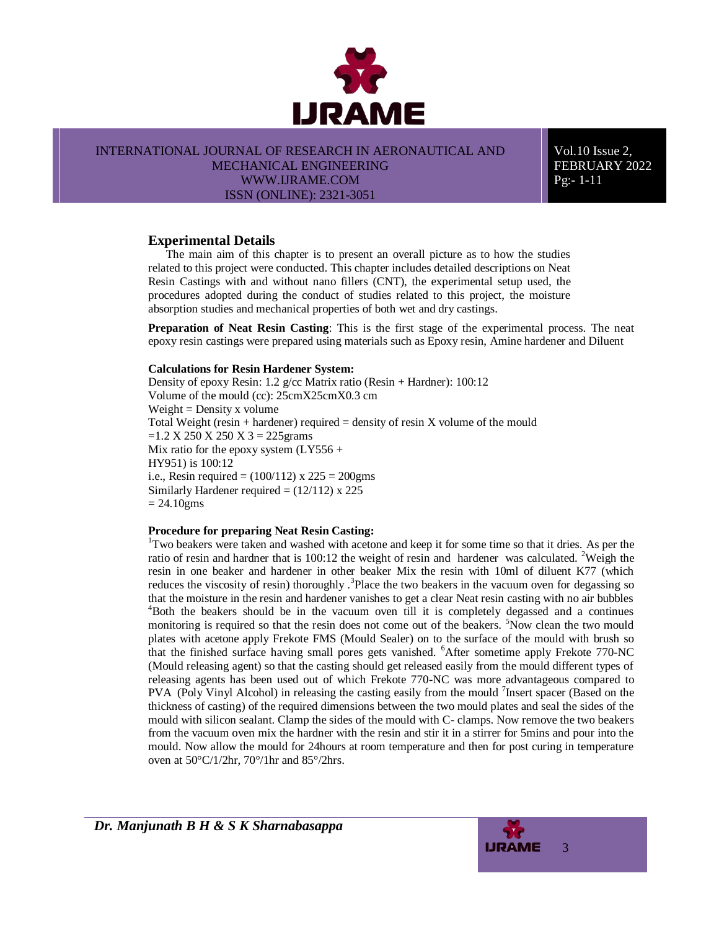

INTERNATIONAL JOURNAL OF RESEARCH IN AERONAUTICAL AND

MECHANICAL ENGINEERING WWW.IJRAME.COM ISSN (ONLINE): 2321-3051

Vol.10 Issue 2, FEBRUARY 2022 Pg:- 1-11

# **Experimental Details**

The main aim of this chapter is to present an overall picture as to how the studies related to this project were conducted. This chapter includes detailed descriptions on Neat Resin Castings with and without nano fillers (CNT), the experimental setup used, the procedures adopted during the conduct of studies related to this project, the moisture absorption studies and mechanical properties of both wet and dry castings.

**Preparation of Neat Resin Casting**: This is the first stage of the experimental process. The neat epoxy resin castings were prepared using materials such as Epoxy resin, Amine hardener and Diluent

#### **Calculations for Resin Hardener System:**

Density of epoxy Resin: 1.2 g/cc Matrix ratio (Resin + Hardner): 100:12 Volume of the mould (cc): 25cmX25cmX0.3 cm  $Weight = Density x$  volume Total Weight (resin  $+$  hardener) required  $=$  density of resin X volume of the mould  $=1.2$  X 250 X 250 X 3 = 225 grams Mix ratio for the epoxy system  $(LY556 +$ HY951) is 100:12 i.e., Resin required =  $(100/112)$  x 225 = 200gms Similarly Hardener required  $= (12/112) \times 225$  $= 24.10$ gms

#### **Procedure for preparing Neat Resin Casting:**

<sup>1</sup>Two beakers were taken and washed with acetone and keep it for some time so that it dries. As per the ratio of resin and hardner that is 100:12 the weight of resin and hardener was calculated. <sup>2</sup>Weigh the resin in one beaker and hardener in other beaker Mix the resin with 10ml of diluent K77 (which reduces the viscosity of resin) thoroughly .<sup>3</sup>Place the two beakers in the vacuum oven for degassing so that the moisture in the resin and hardener vanishes to get a clear Neat resin casting with no air bubbles <sup>4</sup>Both the beakers should be in the vacuum oven till it is completely degassed and a continues monitoring is required so that the resin does not come out of the beakers. <sup>5</sup>Now clean the two mould plates with acetone apply Frekote FMS (Mould Sealer) on to the surface of the mould with brush so that the finished surface having small pores gets vanished. <sup>6</sup>After sometime apply Frekote 770-NC (Mould releasing agent) so that the casting should get released easily from the mould different types of releasing agents has been used out of which Frekote 770-NC was more advantageous compared to PVA (Poly Vinyl Alcohol) in releasing the casting easily from the mould <sup>7</sup>Insert spacer (Based on the thickness of casting) of the required dimensions between the two mould plates and seal the sides of the mould with silicon sealant. Clamp the sides of the mould with C- clamps. Now remove the two beakers from the vacuum oven mix the hardner with the resin and stir it in a stirrer for 5mins and pour into the mould. Now allow the mould for 24hours at room temperature and then for post curing in temperature oven at 50°C/1/2hr, 70°/1hr and 85°/2hrs.

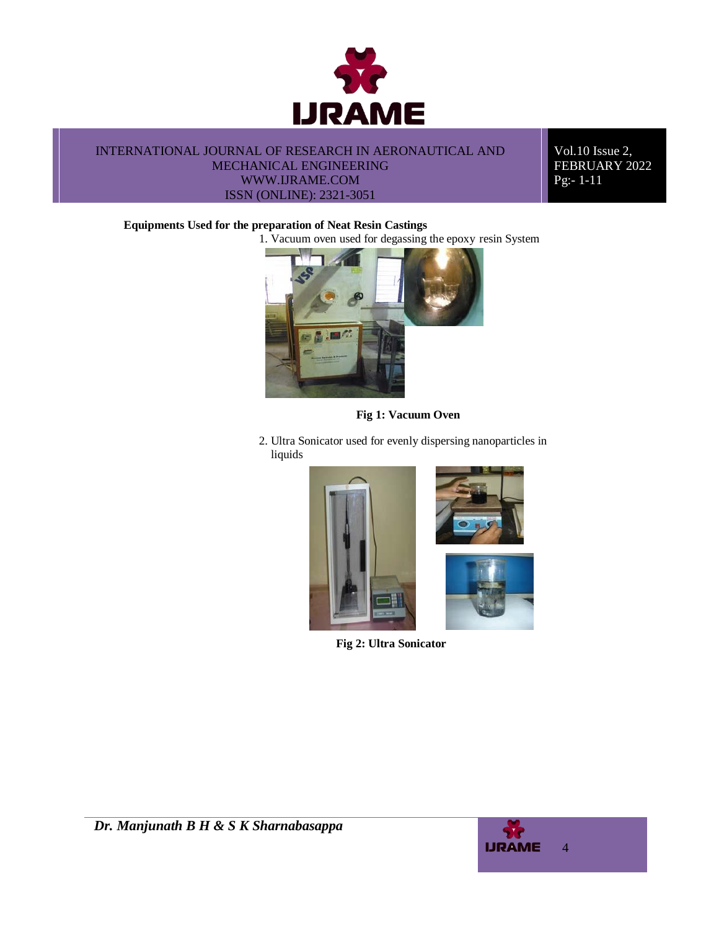

Vol.10 Issue 2, FEBRUARY 2022 Pg:- 1-11

#### **Equipments Used for the preparation of Neat Resin Castings**

1. Vacuum oven used for degassing the epoxy resin System



**Fig 1: Vacuum Oven**

2. Ultra Sonicator used for evenly dispersing nanoparticles in liquids



**Fig 2: Ultra Sonicator**

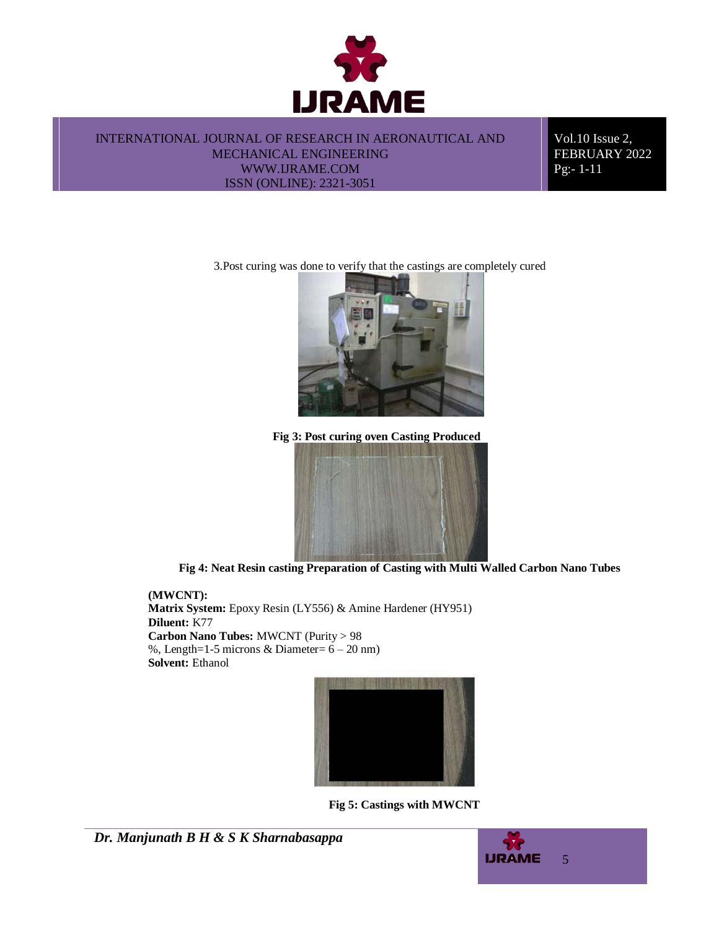

Vol.10 Issue 2, FEBRUARY 2022 Pg:- 1-11

3.Post curing was done to verify that the castings are completely cured



**Fig 3: Post curing oven Casting Produced**



**Fig 4: Neat Resin casting Preparation of Casting with Multi Walled Carbon Nano Tubes**

**(MWCNT): Matrix System:** Epoxy Resin (LY556) & Amine Hardener (HY951) **Diluent:** K77 **Carbon Nano Tubes:** MWCNT (Purity > 98 %, Length=1-5 microns & Diameter=  $6 - 20$  nm) **Solvent:** Ethanol



**Fig 5: Castings with MWCNT**

*Dr. Manjunath B H & S K Sharnabasappa*

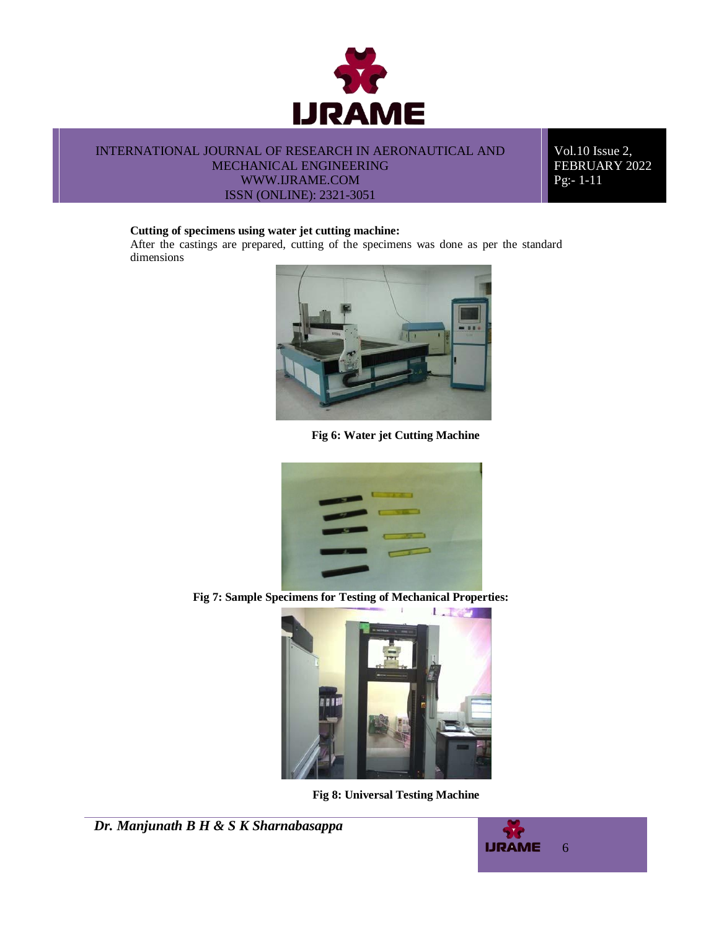

Vol.10 Issue 2, FEBRUARY 2022 Pg:- 1-11

#### **Cutting of specimens using water jet cutting machine:**

After the castings are prepared, cutting of the specimens was done as per the standard dimensions



**Fig 6: Water jet Cutting Machine**



**Fig 7: Sample Specimens for Testing of Mechanical Properties:**



**Fig 8: Universal Testing Machine**

```
Dr. Manjunath B H & S K Sharnabasappa
```
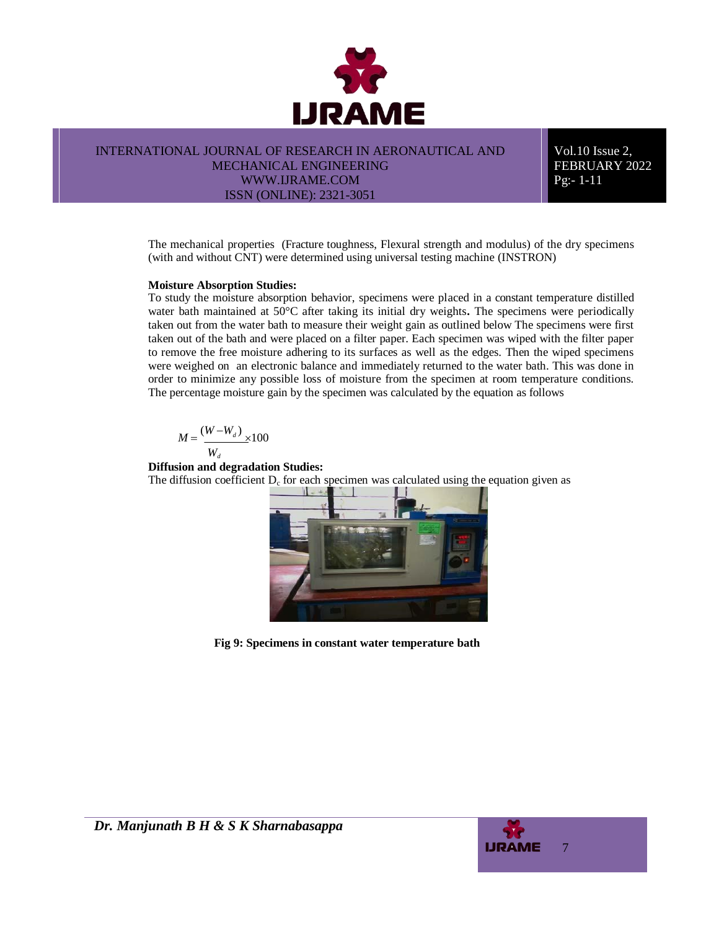

Vol.10 Issue 2, FEBRUARY 2022 Pg:- 1-11

The mechanical properties (Fracture toughness, Flexural strength and modulus) of the dry specimens (with and without CNT) were determined using universal testing machine (INSTRON)

#### **Moisture Absorption Studies:**

To study the moisture absorption behavior, specimens were placed in a constant temperature distilled water bath maintained at 50°C after taking its initial dry weights**.** The specimens were periodically taken out from the water bath to measure their weight gain as outlined below The specimens were first taken out of the bath and were placed on a filter paper. Each specimen was wiped with the filter paper to remove the free moisture adhering to its surfaces as well as the edges. Then the wiped specimens were weighed on an electronic balance and immediately returned to the water bath. This was done in order to minimize any possible loss of moisture from the specimen at room temperature conditions. The percentage moisture gain by the specimen was calculated by the equation as follows

$$
M = \frac{(W-W_a)}{W_a} \times 100
$$

**Diffusion and degradation Studies:**

The diffusion coefficient  $D_c$  for each specimen was calculated using the equation given as



**Fig 9: Specimens in constant water temperature bath**

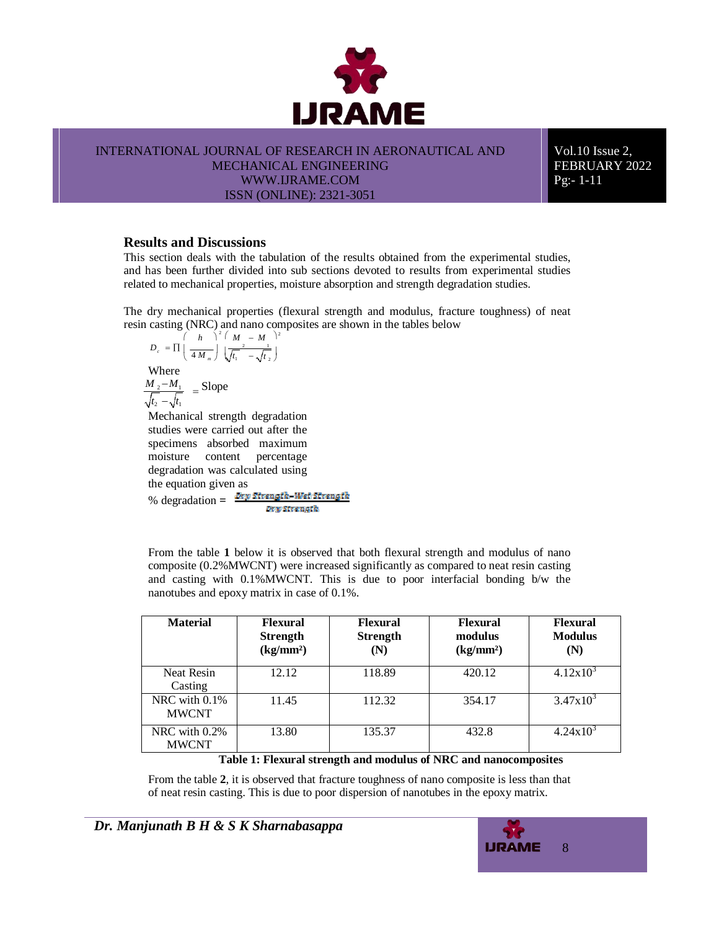

INTERNATIONAL JOURNAL OF RESEARCH IN AERONAUTICAL AND

MECHANICAL ENGINEERING WWW.IJRAME.COM

ISSN (ONLINE): 2321-3051

Vol.10 Issue 2, FEBRUARY 2022 Pg:- 1-11

## **Results and Discussions**

This section deals with the tabulation of the results obtained from the experimental studies, and has been further divided into sub sections devoted to results from experimental studies related to mechanical properties, moisture absorption and strength degradation studies.

The dry mechanical properties (flexural strength and modulus, fracture toughness) of neat resin casting (NRC) and nano composites are shown in the tables below

$$
D_c = \Pi \left(\frac{h}{4M_m}\right)^2 \left(\frac{M}{\sqrt{t_1} - \sqrt{t_2}}\right)^2
$$
  
Where  

$$
\frac{M_2 - M_1}{\sqrt{t_2} - \sqrt{t_1}} = \text{Slope}
$$
  
Mechanical strength degradation  
studies were carried out after the

studies were carried out after the specimens absorbed maximum moisture content percentage degradation was calculated using the equation given as % degradation =  $\frac{Drw \text{ Strength}-Wet \text{ strength}}{dr}$ Dry Strength.

From the table **1** below it is observed that both flexural strength and modulus of nano composite (0.2%MWCNT) were increased significantly as compared to neat resin casting and casting with 0.1%MWCNT. This is due to poor interfacial bonding b/w the nanotubes and epoxy matrix in case of 0.1%.

| <b>Material</b>                  | <b>Flexural</b><br><b>Strength</b><br>(kg/mm <sup>2</sup> ) | <b>Flexural</b><br><b>Strength</b><br>$({\bf N})$ | <b>Flexural</b><br>modulus<br>(kg/mm <sup>2</sup> ) | <b>Flexural</b><br><b>Modulus</b><br>(N) |
|----------------------------------|-------------------------------------------------------------|---------------------------------------------------|-----------------------------------------------------|------------------------------------------|
| <b>Neat Resin</b><br>Casting     | 12.12                                                       | 118.89                                            | 420.12                                              | $4.12x10^3$                              |
| NRC with $0.1\%$<br><b>MWCNT</b> | 11.45                                                       | 112.32                                            | 354.17                                              | $3.47 \times 10^3$                       |
| NRC with 0.2%<br><b>MWCNT</b>    | 13.80                                                       | 135.37                                            | 432.8                                               | $4.24 \times 10^{3}$                     |

**Table 1: Flexural strength and modulus of NRC and nanocomposites**

From the table **2**, it is observed that fracture toughness of nano composite is less than that of neat resin casting. This is due to poor dispersion of nanotubes in the epoxy matrix.

*Dr. Manjunath B H & S K Sharnabasappa*

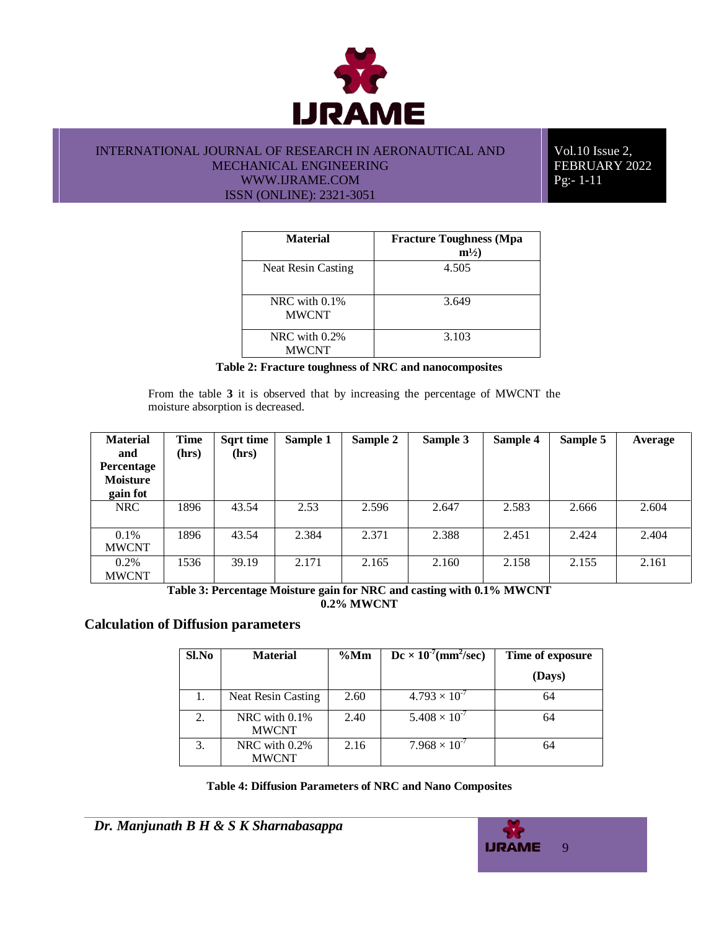

Vol.10 Issue 2, FEBRUARY 2022 Pg:- 1-11

| <b>Material</b>                  | <b>Fracture Toughness (Mpa</b><br>$m^{1/2}$ |
|----------------------------------|---------------------------------------------|
| <b>Neat Resin Casting</b>        | 4.505                                       |
| NRC with $0.1\%$<br><b>MWCNT</b> | 3.649                                       |
| NRC with $0.2\%$<br><b>MWCNT</b> | 3.103                                       |

**Table 2: Fracture toughness of NRC and nanocomposites**

From the table **3** it is observed that by increasing the percentage of MWCNT the moisture absorption is decreased.

| <b>Material</b><br>and<br><b>Percentage</b><br><b>Moisture</b><br>gain fot | <b>Time</b><br>(hrs) | <b>Sqrt time</b><br>(hrs) | Sample 1 | Sample 2 | Sample 3 | Sample 4 | Sample 5 | Average |
|----------------------------------------------------------------------------|----------------------|---------------------------|----------|----------|----------|----------|----------|---------|
| NRC                                                                        | 1896                 | 43.54                     | 2.53     | 2.596    | 2.647    | 2.583    | 2.666    | 2.604   |
| $0.1\%$<br><b>MWCNT</b>                                                    | 1896                 | 43.54                     | 2.384    | 2.371    | 2.388    | 2.451    | 2.424    | 2.404   |
| $0.2\%$<br><b>MWCNT</b>                                                    | 1536                 | 39.19                     | 2.171    | 2.165    | 2.160    | 2.158    | 2.155    | 2.161   |

**Table 3: Percentage Moisture gain for NRC and casting with 0.1% MWCNT 0.2% MWCNT**

## **Calculation of Diffusion parameters**

| Sl.No | <b>Material</b>                  | $\%$ Mm | $Dc \times 10^{7}$ (mm <sup>2</sup> /sec) | Time of exposure |
|-------|----------------------------------|---------|-------------------------------------------|------------------|
|       |                                  |         |                                           | (Days)           |
| 1.    | <b>Neat Resin Casting</b>        | 2.60    | $4.793 \times 10^{-7}$                    | 64               |
| 2.    | NRC with $0.1\%$<br><b>MWCNT</b> | 2.40    | $5.408 \times 10^{-7}$                    | 64               |
| 3.    | NRC with 0.2%<br><b>MWCNT</b>    | 2.16    | $7.968 \times 10^{-7}$                    | 64               |

#### **Table 4: Diffusion Parameters of NRC and Nano Composites**

*Dr. Manjunath B H & S K Sharnabasappa*

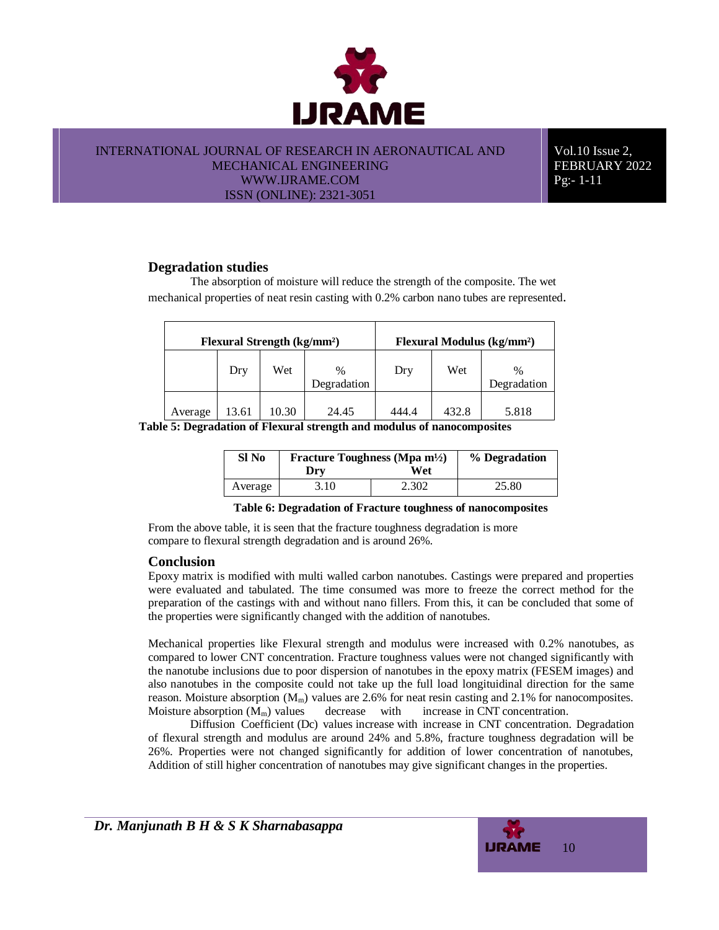

Vol.10 Issue 2, FEBRUARY 2022 Pg:- 1-11

# **Degradation studies**

The absorption of moisture will reduce the strength of the composite. The wet mechanical properties of neat resin casting with 0.2% carbon nano tubes are represented.

| <b>Flexural Strength (kg/mm<sup>2</sup>)</b> |       |       | Flexural Modulus (kg/mm <sup>2</sup> ) |       |       |                     |
|----------------------------------------------|-------|-------|----------------------------------------|-------|-------|---------------------|
|                                              | Dry   | Wet   | $\%$<br>Degradation                    | Dry   | Wet   | $\%$<br>Degradation |
| Average                                      | 13.61 | 10.30 | 24.45                                  | 444.4 | 432.8 | 5.818               |

**Table 5: Degradation of Flexural strength and modulus of nanocomposites**

| SI No   | Fracture Toughness (Mpa m <sup>1</sup> /2) | % Degradation |       |
|---------|--------------------------------------------|---------------|-------|
|         | Dry                                        | Wet           |       |
| Average | 3.10                                       | 2.302         | 25.80 |

#### **Table 6: Degradation of Fracture toughness of nanocomposites**

From the above table, it is seen that the fracture toughness degradation is more compare to flexural strength degradation and is around 26%.

## **Conclusion**

Epoxy matrix is modified with multi walled carbon nanotubes. Castings were prepared and properties were evaluated and tabulated. The time consumed was more to freeze the correct method for the preparation of the castings with and without nano fillers. From this, it can be concluded that some of the properties were significantly changed with the addition of nanotubes.

Mechanical properties like Flexural strength and modulus were increased with 0.2% nanotubes, as compared to lower CNT concentration. Fracture toughness values were not changed significantly with the nanotube inclusions due to poor dispersion of nanotubes in the epoxy matrix (FESEM images) and also nanotubes in the composite could not take up the full load longituidinal direction for the same reason. Moisture absorption  $(M_m)$  values are 2.6% for neat resin casting and 2.1% for nanocomposites. Moisture absorption  $(M_m)$  values decrease with increase in CNT concentration.

Diffusion Coefficient (Dc) values increase with increase in CNT concentration. Degradation of flexural strength and modulus are around 24% and 5.8%, fracture toughness degradation will be 26%. Properties were not changed significantly for addition of lower concentration of nanotubes, Addition of still higher concentration of nanotubes may give significant changes in the properties.